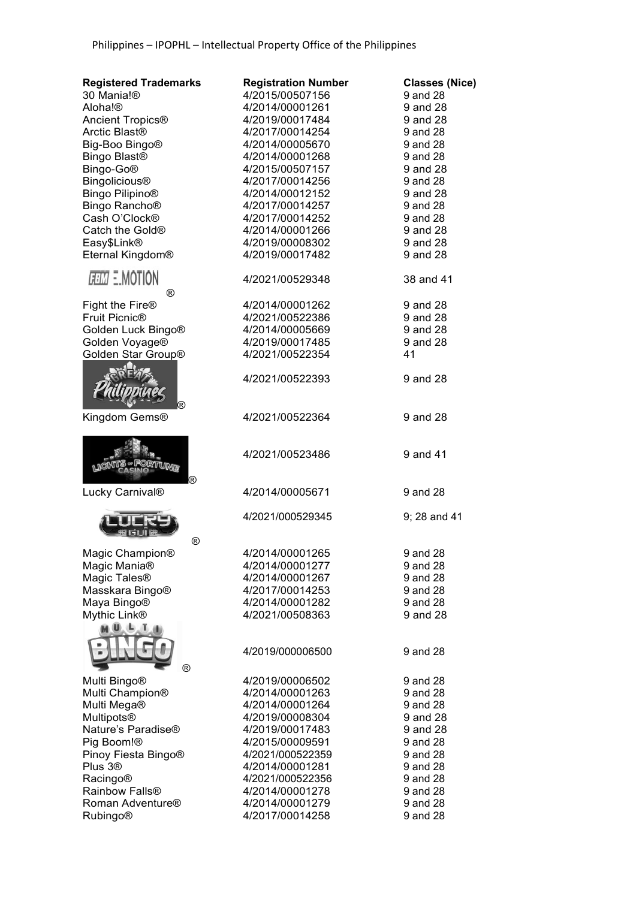| 30 Mania!®<br>4/2015/00507156<br>Aloha!®<br>4/2014/00001261<br>9 and 28<br>Ancient Tropics <sup>®</sup><br>4/2019/00017484<br>9 and 28<br>Arctic Blast <sup>®</sup><br>4/2017/00014254<br>9 and 28<br>Big-Boo Bingo <sup>®</sup><br>4/2014/00005670<br>9 and 28<br>Bingo Blast <sup>®</sup><br>4/2014/00001268<br>9 and 28<br>Bingo-Go®<br>4/2015/00507157<br>9 and 28<br><b>Bingolicious®</b><br>9 and 28<br>4/2017/00014256<br>Bingo Pilipino <sup>®</sup><br>4/2014/00012152<br>9 and 28<br>Bingo Rancho <sup>®</sup><br>4/2017/00014257<br>9 and 28<br>Cash O'Clock®<br>4/2017/00014252<br>9 and 28<br>Catch the Gold <sup>®</sup><br>4/2014/00001266<br>9 and 28<br>Easy\$Link®<br>4/2019/00008302<br>9 and 28<br>Eternal Kingdom®<br>4/2019/00017482<br>9 and 28<br><i>FEM</i> E.MOTION<br>4/2021/00529348<br>38 and 41<br>$^\circledR$<br>Fight the Fire <sup>®</sup><br>4/2014/00001262<br>9 and 28<br>Fruit Picnic <sup>®</sup><br>4/2021/00522386<br>9 and 28<br>Golden Luck Bingo®<br>4/2014/00005669<br>9 and 28<br>Golden Voyage®<br>4/2019/00017485<br>9 and 28<br>Golden Star Group®<br>4/2021/00522354<br>41<br>4/2021/00522393<br>9 and 28<br>(R)<br>Kingdom Gems®<br>4/2021/00522364<br>9 and 28<br>4/2021/00523486<br>9 and 41<br>(R)<br>Lucky Carnival®<br>4/2014/00005671<br>9 and 28<br>4/2021/000529345<br>9; 28 and 41<br>®<br>Magic Champion®<br>4/2014/00001265<br>9 and 28<br>Magic Mania <sup>®</sup><br>4/2014/00001277<br>9 and 28<br>Magic Tales <sup>®</sup><br>4/2014/00001267<br>9 and 28<br>Masskara Bingo®<br>4/2017/00014253<br>9 and 28<br>Maya Bingo®<br>9 and 28<br>4/2014/00001282<br>Mythic Link®<br>9 and 28<br>4/2021/00508363<br>$\mathbf{U}$ , $\mathbf{U}$ , $\mathbf{U}$<br>9 and 28<br>4/2019/000006500<br>®<br>Multi Bingo®<br>4/2019/00006502<br>9 and 28<br>Multi Champion®<br>9 and 28<br>4/2014/00001263<br>Multi Mega®<br>4/2014/00001264<br>9 and 28<br>Multipots®<br>4/2019/00008304<br>9 and 28<br>Nature's Paradise®<br>4/2019/00017483<br>9 and 28<br>Pig Boom!®<br>4/2015/00009591<br>9 and 28<br>Pinoy Fiesta Bingo®<br>4/2021/000522359<br>9 and 28<br>Plus 3 <sup>®</sup><br>4/2014/00001281<br>9 and 28<br><b>Racingo®</b><br>4/2021/000522356<br>9 and 28<br>Rainbow Falls <sup>®</sup><br>4/2014/00001278<br>9 and 28<br>Roman Adventure <sup>®</sup><br>4/2014/00001279<br>9 and 28 | <b>Registered Trademarks</b> | <b>Registration Number</b> | <b>Classes (Nice)</b> |
|---------------------------------------------------------------------------------------------------------------------------------------------------------------------------------------------------------------------------------------------------------------------------------------------------------------------------------------------------------------------------------------------------------------------------------------------------------------------------------------------------------------------------------------------------------------------------------------------------------------------------------------------------------------------------------------------------------------------------------------------------------------------------------------------------------------------------------------------------------------------------------------------------------------------------------------------------------------------------------------------------------------------------------------------------------------------------------------------------------------------------------------------------------------------------------------------------------------------------------------------------------------------------------------------------------------------------------------------------------------------------------------------------------------------------------------------------------------------------------------------------------------------------------------------------------------------------------------------------------------------------------------------------------------------------------------------------------------------------------------------------------------------------------------------------------------------------------------------------------------------------------------------------------------------------------------------------------------------------------------------------------------------------------------------------------------------------------------------------------------------------------------------------------------------------------------------------------------------------------------------------------------------------------------------------------------------------------------------------------|------------------------------|----------------------------|-----------------------|
|                                                                                                                                                                                                                                                                                                                                                                                                                                                                                                                                                                                                                                                                                                                                                                                                                                                                                                                                                                                                                                                                                                                                                                                                                                                                                                                                                                                                                                                                                                                                                                                                                                                                                                                                                                                                                                                                                                                                                                                                                                                                                                                                                                                                                                                                                                                                                         |                              |                            | 9 and 28              |
|                                                                                                                                                                                                                                                                                                                                                                                                                                                                                                                                                                                                                                                                                                                                                                                                                                                                                                                                                                                                                                                                                                                                                                                                                                                                                                                                                                                                                                                                                                                                                                                                                                                                                                                                                                                                                                                                                                                                                                                                                                                                                                                                                                                                                                                                                                                                                         |                              |                            |                       |
|                                                                                                                                                                                                                                                                                                                                                                                                                                                                                                                                                                                                                                                                                                                                                                                                                                                                                                                                                                                                                                                                                                                                                                                                                                                                                                                                                                                                                                                                                                                                                                                                                                                                                                                                                                                                                                                                                                                                                                                                                                                                                                                                                                                                                                                                                                                                                         |                              |                            |                       |
|                                                                                                                                                                                                                                                                                                                                                                                                                                                                                                                                                                                                                                                                                                                                                                                                                                                                                                                                                                                                                                                                                                                                                                                                                                                                                                                                                                                                                                                                                                                                                                                                                                                                                                                                                                                                                                                                                                                                                                                                                                                                                                                                                                                                                                                                                                                                                         |                              |                            |                       |
|                                                                                                                                                                                                                                                                                                                                                                                                                                                                                                                                                                                                                                                                                                                                                                                                                                                                                                                                                                                                                                                                                                                                                                                                                                                                                                                                                                                                                                                                                                                                                                                                                                                                                                                                                                                                                                                                                                                                                                                                                                                                                                                                                                                                                                                                                                                                                         |                              |                            |                       |
|                                                                                                                                                                                                                                                                                                                                                                                                                                                                                                                                                                                                                                                                                                                                                                                                                                                                                                                                                                                                                                                                                                                                                                                                                                                                                                                                                                                                                                                                                                                                                                                                                                                                                                                                                                                                                                                                                                                                                                                                                                                                                                                                                                                                                                                                                                                                                         |                              |                            |                       |
|                                                                                                                                                                                                                                                                                                                                                                                                                                                                                                                                                                                                                                                                                                                                                                                                                                                                                                                                                                                                                                                                                                                                                                                                                                                                                                                                                                                                                                                                                                                                                                                                                                                                                                                                                                                                                                                                                                                                                                                                                                                                                                                                                                                                                                                                                                                                                         |                              |                            |                       |
|                                                                                                                                                                                                                                                                                                                                                                                                                                                                                                                                                                                                                                                                                                                                                                                                                                                                                                                                                                                                                                                                                                                                                                                                                                                                                                                                                                                                                                                                                                                                                                                                                                                                                                                                                                                                                                                                                                                                                                                                                                                                                                                                                                                                                                                                                                                                                         |                              |                            |                       |
|                                                                                                                                                                                                                                                                                                                                                                                                                                                                                                                                                                                                                                                                                                                                                                                                                                                                                                                                                                                                                                                                                                                                                                                                                                                                                                                                                                                                                                                                                                                                                                                                                                                                                                                                                                                                                                                                                                                                                                                                                                                                                                                                                                                                                                                                                                                                                         |                              |                            |                       |
|                                                                                                                                                                                                                                                                                                                                                                                                                                                                                                                                                                                                                                                                                                                                                                                                                                                                                                                                                                                                                                                                                                                                                                                                                                                                                                                                                                                                                                                                                                                                                                                                                                                                                                                                                                                                                                                                                                                                                                                                                                                                                                                                                                                                                                                                                                                                                         |                              |                            |                       |
|                                                                                                                                                                                                                                                                                                                                                                                                                                                                                                                                                                                                                                                                                                                                                                                                                                                                                                                                                                                                                                                                                                                                                                                                                                                                                                                                                                                                                                                                                                                                                                                                                                                                                                                                                                                                                                                                                                                                                                                                                                                                                                                                                                                                                                                                                                                                                         |                              |                            |                       |
|                                                                                                                                                                                                                                                                                                                                                                                                                                                                                                                                                                                                                                                                                                                                                                                                                                                                                                                                                                                                                                                                                                                                                                                                                                                                                                                                                                                                                                                                                                                                                                                                                                                                                                                                                                                                                                                                                                                                                                                                                                                                                                                                                                                                                                                                                                                                                         |                              |                            |                       |
|                                                                                                                                                                                                                                                                                                                                                                                                                                                                                                                                                                                                                                                                                                                                                                                                                                                                                                                                                                                                                                                                                                                                                                                                                                                                                                                                                                                                                                                                                                                                                                                                                                                                                                                                                                                                                                                                                                                                                                                                                                                                                                                                                                                                                                                                                                                                                         |                              |                            |                       |
|                                                                                                                                                                                                                                                                                                                                                                                                                                                                                                                                                                                                                                                                                                                                                                                                                                                                                                                                                                                                                                                                                                                                                                                                                                                                                                                                                                                                                                                                                                                                                                                                                                                                                                                                                                                                                                                                                                                                                                                                                                                                                                                                                                                                                                                                                                                                                         |                              |                            |                       |
|                                                                                                                                                                                                                                                                                                                                                                                                                                                                                                                                                                                                                                                                                                                                                                                                                                                                                                                                                                                                                                                                                                                                                                                                                                                                                                                                                                                                                                                                                                                                                                                                                                                                                                                                                                                                                                                                                                                                                                                                                                                                                                                                                                                                                                                                                                                                                         |                              |                            |                       |
|                                                                                                                                                                                                                                                                                                                                                                                                                                                                                                                                                                                                                                                                                                                                                                                                                                                                                                                                                                                                                                                                                                                                                                                                                                                                                                                                                                                                                                                                                                                                                                                                                                                                                                                                                                                                                                                                                                                                                                                                                                                                                                                                                                                                                                                                                                                                                         |                              |                            |                       |
|                                                                                                                                                                                                                                                                                                                                                                                                                                                                                                                                                                                                                                                                                                                                                                                                                                                                                                                                                                                                                                                                                                                                                                                                                                                                                                                                                                                                                                                                                                                                                                                                                                                                                                                                                                                                                                                                                                                                                                                                                                                                                                                                                                                                                                                                                                                                                         |                              |                            |                       |
|                                                                                                                                                                                                                                                                                                                                                                                                                                                                                                                                                                                                                                                                                                                                                                                                                                                                                                                                                                                                                                                                                                                                                                                                                                                                                                                                                                                                                                                                                                                                                                                                                                                                                                                                                                                                                                                                                                                                                                                                                                                                                                                                                                                                                                                                                                                                                         |                              |                            |                       |
|                                                                                                                                                                                                                                                                                                                                                                                                                                                                                                                                                                                                                                                                                                                                                                                                                                                                                                                                                                                                                                                                                                                                                                                                                                                                                                                                                                                                                                                                                                                                                                                                                                                                                                                                                                                                                                                                                                                                                                                                                                                                                                                                                                                                                                                                                                                                                         |                              |                            |                       |
|                                                                                                                                                                                                                                                                                                                                                                                                                                                                                                                                                                                                                                                                                                                                                                                                                                                                                                                                                                                                                                                                                                                                                                                                                                                                                                                                                                                                                                                                                                                                                                                                                                                                                                                                                                                                                                                                                                                                                                                                                                                                                                                                                                                                                                                                                                                                                         |                              |                            |                       |
|                                                                                                                                                                                                                                                                                                                                                                                                                                                                                                                                                                                                                                                                                                                                                                                                                                                                                                                                                                                                                                                                                                                                                                                                                                                                                                                                                                                                                                                                                                                                                                                                                                                                                                                                                                                                                                                                                                                                                                                                                                                                                                                                                                                                                                                                                                                                                         |                              |                            |                       |
|                                                                                                                                                                                                                                                                                                                                                                                                                                                                                                                                                                                                                                                                                                                                                                                                                                                                                                                                                                                                                                                                                                                                                                                                                                                                                                                                                                                                                                                                                                                                                                                                                                                                                                                                                                                                                                                                                                                                                                                                                                                                                                                                                                                                                                                                                                                                                         |                              |                            |                       |
|                                                                                                                                                                                                                                                                                                                                                                                                                                                                                                                                                                                                                                                                                                                                                                                                                                                                                                                                                                                                                                                                                                                                                                                                                                                                                                                                                                                                                                                                                                                                                                                                                                                                                                                                                                                                                                                                                                                                                                                                                                                                                                                                                                                                                                                                                                                                                         |                              |                            |                       |
|                                                                                                                                                                                                                                                                                                                                                                                                                                                                                                                                                                                                                                                                                                                                                                                                                                                                                                                                                                                                                                                                                                                                                                                                                                                                                                                                                                                                                                                                                                                                                                                                                                                                                                                                                                                                                                                                                                                                                                                                                                                                                                                                                                                                                                                                                                                                                         |                              |                            |                       |
|                                                                                                                                                                                                                                                                                                                                                                                                                                                                                                                                                                                                                                                                                                                                                                                                                                                                                                                                                                                                                                                                                                                                                                                                                                                                                                                                                                                                                                                                                                                                                                                                                                                                                                                                                                                                                                                                                                                                                                                                                                                                                                                                                                                                                                                                                                                                                         |                              |                            |                       |
|                                                                                                                                                                                                                                                                                                                                                                                                                                                                                                                                                                                                                                                                                                                                                                                                                                                                                                                                                                                                                                                                                                                                                                                                                                                                                                                                                                                                                                                                                                                                                                                                                                                                                                                                                                                                                                                                                                                                                                                                                                                                                                                                                                                                                                                                                                                                                         |                              |                            |                       |
|                                                                                                                                                                                                                                                                                                                                                                                                                                                                                                                                                                                                                                                                                                                                                                                                                                                                                                                                                                                                                                                                                                                                                                                                                                                                                                                                                                                                                                                                                                                                                                                                                                                                                                                                                                                                                                                                                                                                                                                                                                                                                                                                                                                                                                                                                                                                                         |                              |                            |                       |
|                                                                                                                                                                                                                                                                                                                                                                                                                                                                                                                                                                                                                                                                                                                                                                                                                                                                                                                                                                                                                                                                                                                                                                                                                                                                                                                                                                                                                                                                                                                                                                                                                                                                                                                                                                                                                                                                                                                                                                                                                                                                                                                                                                                                                                                                                                                                                         |                              |                            |                       |
|                                                                                                                                                                                                                                                                                                                                                                                                                                                                                                                                                                                                                                                                                                                                                                                                                                                                                                                                                                                                                                                                                                                                                                                                                                                                                                                                                                                                                                                                                                                                                                                                                                                                                                                                                                                                                                                                                                                                                                                                                                                                                                                                                                                                                                                                                                                                                         |                              |                            |                       |
|                                                                                                                                                                                                                                                                                                                                                                                                                                                                                                                                                                                                                                                                                                                                                                                                                                                                                                                                                                                                                                                                                                                                                                                                                                                                                                                                                                                                                                                                                                                                                                                                                                                                                                                                                                                                                                                                                                                                                                                                                                                                                                                                                                                                                                                                                                                                                         |                              |                            |                       |
|                                                                                                                                                                                                                                                                                                                                                                                                                                                                                                                                                                                                                                                                                                                                                                                                                                                                                                                                                                                                                                                                                                                                                                                                                                                                                                                                                                                                                                                                                                                                                                                                                                                                                                                                                                                                                                                                                                                                                                                                                                                                                                                                                                                                                                                                                                                                                         |                              |                            |                       |
|                                                                                                                                                                                                                                                                                                                                                                                                                                                                                                                                                                                                                                                                                                                                                                                                                                                                                                                                                                                                                                                                                                                                                                                                                                                                                                                                                                                                                                                                                                                                                                                                                                                                                                                                                                                                                                                                                                                                                                                                                                                                                                                                                                                                                                                                                                                                                         |                              |                            |                       |
|                                                                                                                                                                                                                                                                                                                                                                                                                                                                                                                                                                                                                                                                                                                                                                                                                                                                                                                                                                                                                                                                                                                                                                                                                                                                                                                                                                                                                                                                                                                                                                                                                                                                                                                                                                                                                                                                                                                                                                                                                                                                                                                                                                                                                                                                                                                                                         |                              |                            |                       |
|                                                                                                                                                                                                                                                                                                                                                                                                                                                                                                                                                                                                                                                                                                                                                                                                                                                                                                                                                                                                                                                                                                                                                                                                                                                                                                                                                                                                                                                                                                                                                                                                                                                                                                                                                                                                                                                                                                                                                                                                                                                                                                                                                                                                                                                                                                                                                         |                              |                            |                       |
|                                                                                                                                                                                                                                                                                                                                                                                                                                                                                                                                                                                                                                                                                                                                                                                                                                                                                                                                                                                                                                                                                                                                                                                                                                                                                                                                                                                                                                                                                                                                                                                                                                                                                                                                                                                                                                                                                                                                                                                                                                                                                                                                                                                                                                                                                                                                                         |                              |                            |                       |
|                                                                                                                                                                                                                                                                                                                                                                                                                                                                                                                                                                                                                                                                                                                                                                                                                                                                                                                                                                                                                                                                                                                                                                                                                                                                                                                                                                                                                                                                                                                                                                                                                                                                                                                                                                                                                                                                                                                                                                                                                                                                                                                                                                                                                                                                                                                                                         |                              |                            |                       |
|                                                                                                                                                                                                                                                                                                                                                                                                                                                                                                                                                                                                                                                                                                                                                                                                                                                                                                                                                                                                                                                                                                                                                                                                                                                                                                                                                                                                                                                                                                                                                                                                                                                                                                                                                                                                                                                                                                                                                                                                                                                                                                                                                                                                                                                                                                                                                         |                              |                            |                       |
|                                                                                                                                                                                                                                                                                                                                                                                                                                                                                                                                                                                                                                                                                                                                                                                                                                                                                                                                                                                                                                                                                                                                                                                                                                                                                                                                                                                                                                                                                                                                                                                                                                                                                                                                                                                                                                                                                                                                                                                                                                                                                                                                                                                                                                                                                                                                                         |                              |                            |                       |
|                                                                                                                                                                                                                                                                                                                                                                                                                                                                                                                                                                                                                                                                                                                                                                                                                                                                                                                                                                                                                                                                                                                                                                                                                                                                                                                                                                                                                                                                                                                                                                                                                                                                                                                                                                                                                                                                                                                                                                                                                                                                                                                                                                                                                                                                                                                                                         |                              |                            |                       |
|                                                                                                                                                                                                                                                                                                                                                                                                                                                                                                                                                                                                                                                                                                                                                                                                                                                                                                                                                                                                                                                                                                                                                                                                                                                                                                                                                                                                                                                                                                                                                                                                                                                                                                                                                                                                                                                                                                                                                                                                                                                                                                                                                                                                                                                                                                                                                         |                              |                            |                       |
|                                                                                                                                                                                                                                                                                                                                                                                                                                                                                                                                                                                                                                                                                                                                                                                                                                                                                                                                                                                                                                                                                                                                                                                                                                                                                                                                                                                                                                                                                                                                                                                                                                                                                                                                                                                                                                                                                                                                                                                                                                                                                                                                                                                                                                                                                                                                                         |                              |                            |                       |
|                                                                                                                                                                                                                                                                                                                                                                                                                                                                                                                                                                                                                                                                                                                                                                                                                                                                                                                                                                                                                                                                                                                                                                                                                                                                                                                                                                                                                                                                                                                                                                                                                                                                                                                                                                                                                                                                                                                                                                                                                                                                                                                                                                                                                                                                                                                                                         |                              |                            |                       |
|                                                                                                                                                                                                                                                                                                                                                                                                                                                                                                                                                                                                                                                                                                                                                                                                                                                                                                                                                                                                                                                                                                                                                                                                                                                                                                                                                                                                                                                                                                                                                                                                                                                                                                                                                                                                                                                                                                                                                                                                                                                                                                                                                                                                                                                                                                                                                         |                              |                            |                       |
|                                                                                                                                                                                                                                                                                                                                                                                                                                                                                                                                                                                                                                                                                                                                                                                                                                                                                                                                                                                                                                                                                                                                                                                                                                                                                                                                                                                                                                                                                                                                                                                                                                                                                                                                                                                                                                                                                                                                                                                                                                                                                                                                                                                                                                                                                                                                                         |                              |                            |                       |
|                                                                                                                                                                                                                                                                                                                                                                                                                                                                                                                                                                                                                                                                                                                                                                                                                                                                                                                                                                                                                                                                                                                                                                                                                                                                                                                                                                                                                                                                                                                                                                                                                                                                                                                                                                                                                                                                                                                                                                                                                                                                                                                                                                                                                                                                                                                                                         |                              |                            |                       |
|                                                                                                                                                                                                                                                                                                                                                                                                                                                                                                                                                                                                                                                                                                                                                                                                                                                                                                                                                                                                                                                                                                                                                                                                                                                                                                                                                                                                                                                                                                                                                                                                                                                                                                                                                                                                                                                                                                                                                                                                                                                                                                                                                                                                                                                                                                                                                         |                              |                            |                       |
|                                                                                                                                                                                                                                                                                                                                                                                                                                                                                                                                                                                                                                                                                                                                                                                                                                                                                                                                                                                                                                                                                                                                                                                                                                                                                                                                                                                                                                                                                                                                                                                                                                                                                                                                                                                                                                                                                                                                                                                                                                                                                                                                                                                                                                                                                                                                                         |                              |                            |                       |
|                                                                                                                                                                                                                                                                                                                                                                                                                                                                                                                                                                                                                                                                                                                                                                                                                                                                                                                                                                                                                                                                                                                                                                                                                                                                                                                                                                                                                                                                                                                                                                                                                                                                                                                                                                                                                                                                                                                                                                                                                                                                                                                                                                                                                                                                                                                                                         |                              |                            |                       |
|                                                                                                                                                                                                                                                                                                                                                                                                                                                                                                                                                                                                                                                                                                                                                                                                                                                                                                                                                                                                                                                                                                                                                                                                                                                                                                                                                                                                                                                                                                                                                                                                                                                                                                                                                                                                                                                                                                                                                                                                                                                                                                                                                                                                                                                                                                                                                         | <b>Rubingo®</b>              | 4/2017/00014258            | 9 and 28              |